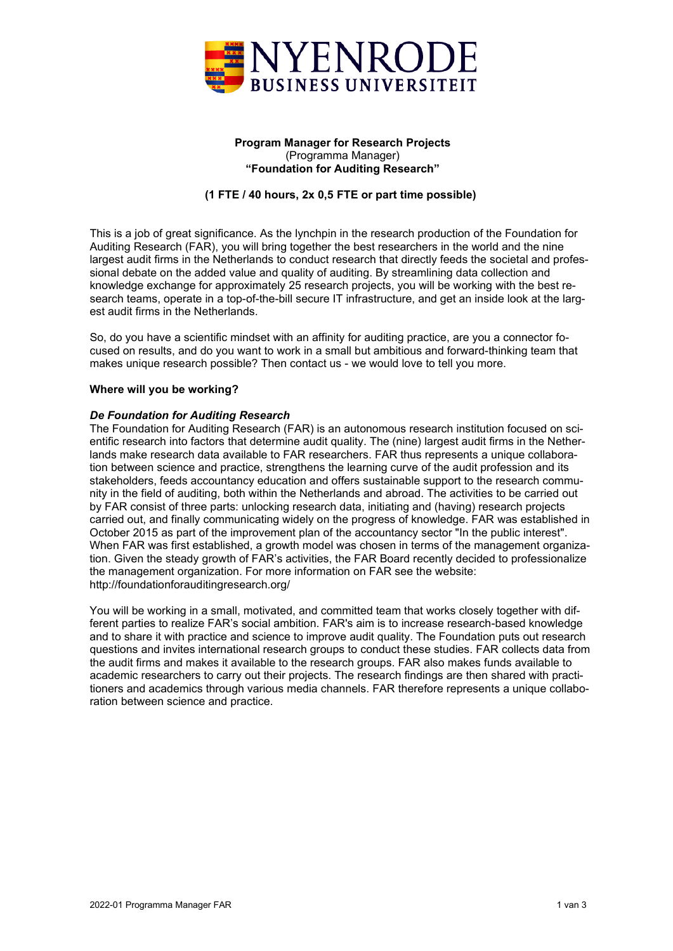

# **Program Manager for Research Projects** (Programma Manager) **"Foundation for Auditing Research"**

# **(1 FTE / 40 hours, 2x 0,5 FTE or part time possible)**

This is a job of great significance. As the lynchpin in the research production of the Foundation for Auditing Research (FAR), you will bring together the best researchers in the world and the nine largest audit firms in the Netherlands to conduct research that directly feeds the societal and professional debate on the added value and quality of auditing. By streamlining data collection and knowledge exchange for approximately 25 research projects, you will be working with the best research teams, operate in a top-of-the-bill secure IT infrastructure, and get an inside look at the largest audit firms in the Netherlands.

So, do you have a scientific mindset with an affinity for auditing practice, are you a connector focused on results, and do you want to work in a small but ambitious and forward-thinking team that makes unique research possible? Then contact us - we would love to tell you more.

### **Where will you be working?**

### *De Foundation for Auditing Research*

The Foundation for Auditing Research (FAR) is an autonomous research institution focused on scientific research into factors that determine audit quality. The (nine) largest audit firms in the Netherlands make research data available to FAR researchers. FAR thus represents a unique collaboration between science and practice, strengthens the learning curve of the audit profession and its stakeholders, feeds accountancy education and offers sustainable support to the research community in the field of auditing, both within the Netherlands and abroad. The activities to be carried out by FAR consist of three parts: unlocking research data, initiating and (having) research projects carried out, and finally communicating widely on the progress of knowledge. FAR was established in October 2015 as part of the improvement plan of the accountancy sector "In the public interest". When FAR was first established, a growth model was chosen in terms of the management organization. Given the steady growth of FAR's activities, the FAR Board recently decided to professionalize the management organization. For more information on FAR see the website: http://foundationforauditingresearch.org/

You will be working in a small, motivated, and committed team that works closely together with different parties to realize FAR's social ambition. FAR's aim is to increase research-based knowledge and to share it with practice and science to improve audit quality. The Foundation puts out research questions and invites international research groups to conduct these studies. FAR collects data from the audit firms and makes it available to the research groups. FAR also makes funds available to academic researchers to carry out their projects. The research findings are then shared with practitioners and academics through various media channels. FAR therefore represents a unique collaboration between science and practice.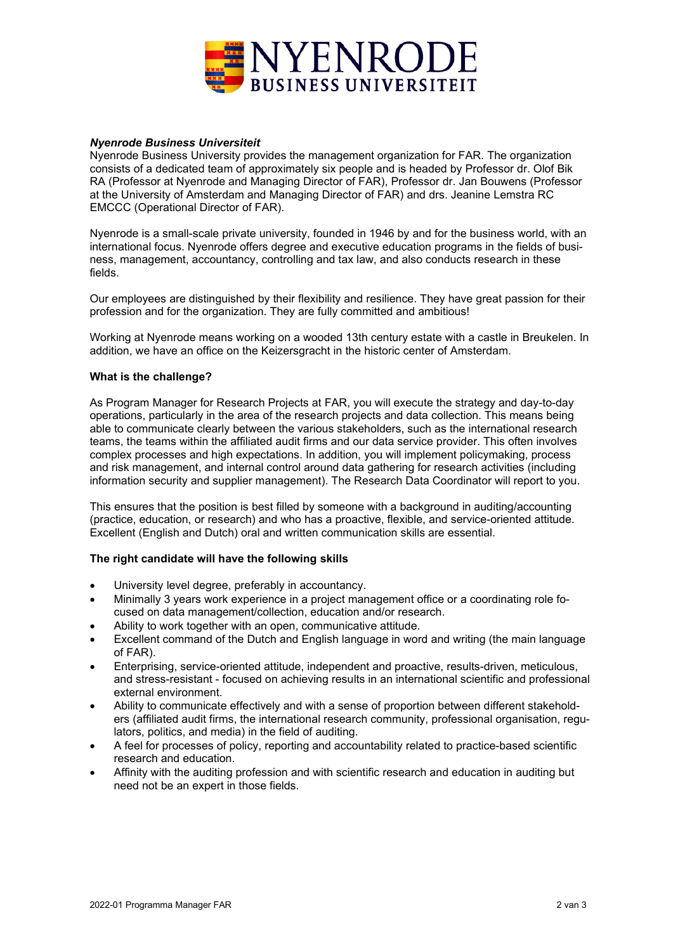

### *Nyenrode Business Universiteit*

Nyenrode Business University provides the management organization for FAR. The organization consists of a dedicated team of approximately six people and is headed by Professor dr. Olof Bik RA (Professor at Nyenrode and Managing Director of FAR), Professor dr. Jan Bouwens (Professor at the University of Amsterdam and Managing Director of FAR) and drs. Jeanine Lemstra RC EMCCC (Operational Director of FAR).

Nyenrode is a small-scale private university, founded in 1946 by and for the business world, with an international focus. Nyenrode offers degree and executive education programs in the fields of business, management, accountancy, controlling and tax law, and also conducts research in these fields.

Our employees are distinguished by their flexibility and resilience. They have great passion for their profession and for the organization. They are fully committed and ambitious!

Working at Nyenrode means working on a wooded 13th century estate with a castle in Breukelen. In addition, we have an office on the Keizersgracht in the historic center of Amsterdam.

#### **What is the challenge?**

As Program Manager for Research Projects at FAR, you will execute the strategy and day-to-day operations, particularly in the area of the research projects and data collection. This means being able to communicate clearly between the various stakeholders, such as the international research teams, the teams within the affiliated audit firms and our data service provider. This often involves complex processes and high expectations. In addition, you will implement policymaking, process and risk management, and internal control around data gathering for research activities (including information security and supplier management). The Research Data Coordinator will report to you.

This ensures that the position is best filled by someone with a background in auditing/accounting (practice, education, or research) and who has a proactive, flexible, and service-oriented attitude. Excellent (English and Dutch) oral and written communication skills are essential.

### **The right candidate will have the following skills**

- University level degree, preferably in accountancy.
- Minimally 3 years work experience in a project management office or a coordinating role focused on data management/collection, education and/or research.
- Ability to work together with an open, communicative attitude.
- Excellent command of the Dutch and English language in word and writing (the main language of FAR).
- Enterprising, service-oriented attitude, independent and proactive, results-driven, meticulous, and stress-resistant - focused on achieving results in an international scientific and professional external environment.
- Ability to communicate effectively and with a sense of proportion between different stakeholders (affiliated audit firms, the international research community, professional organisation, regulators, politics, and media) in the field of auditing.
- A feel for processes of policy, reporting and accountability related to practice-based scientific research and education.
- Affinity with the auditing profession and with scientific research and education in auditing but need not be an expert in those fields.